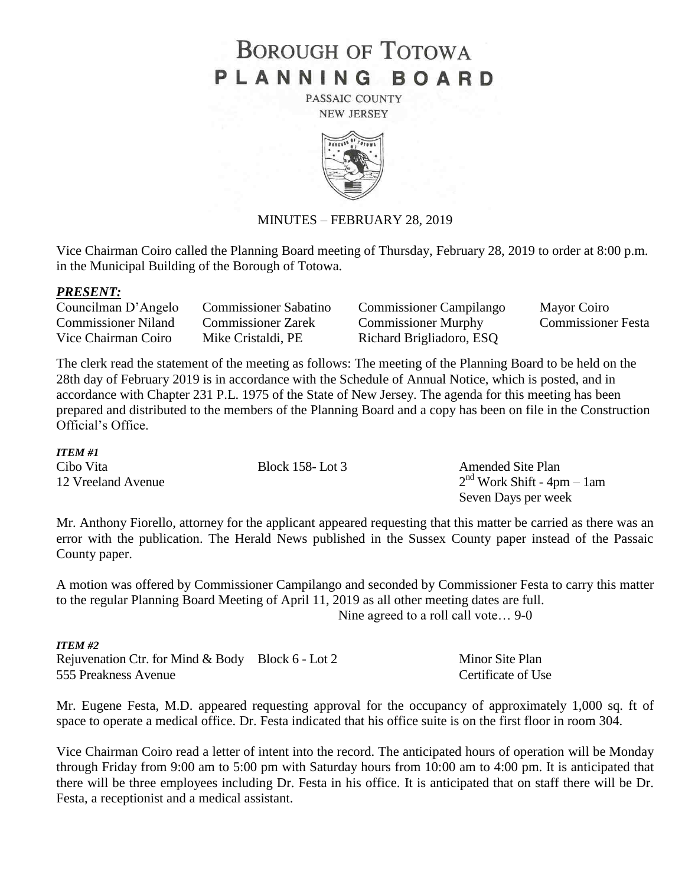# **BOROUGH OF TOTOWA** PLANNING BOARD

PASSAIC COUNTY **NEW JERSEY** 



# MINUTES – FEBRUARY 28, 2019

Vice Chairman Coiro called the Planning Board meeting of Thursday, February 28, 2019 to order at 8:00 p.m. in the Municipal Building of the Borough of Totowa.

### *PRESENT:*

| Councilman D'Angelo        | <b>Commissioner Sabatino</b> | <b>Commissioner Campilango</b> | Mayor Coiro               |
|----------------------------|------------------------------|--------------------------------|---------------------------|
| <b>Commissioner Niland</b> | <b>Commissioner Zarek</b>    | <b>Commissioner Murphy</b>     | <b>Commissioner Festa</b> |
| Vice Chairman Coiro        | Mike Cristaldi, PE           | Richard Brigliadoro, ESQ       |                           |

The clerk read the statement of the meeting as follows: The meeting of the Planning Board to be held on the 28th day of February 2019 is in accordance with the Schedule of Annual Notice, which is posted, and in accordance with Chapter 231 P.L. 1975 of the State of New Jersey. The agenda for this meeting has been prepared and distributed to the members of the Planning Board and a copy has been on file in the Construction Official's Office.

*ITEM #1* 12 Vreeland Avenue

Cibo Vita Block 158- Lot 3 Amended Site Plan  $2<sup>nd</sup>$  Work Shift - 4pm – 1am Seven Days per week

Mr. Anthony Fiorello, attorney for the applicant appeared requesting that this matter be carried as there was an error with the publication. The Herald News published in the Sussex County paper instead of the Passaic County paper.

A motion was offered by Commissioner Campilango and seconded by Commissioner Festa to carry this matter to the regular Planning Board Meeting of April 11, 2019 as all other meeting dates are full. Nine agreed to a roll call vote… 9-0

# *ITEM #2*

Rejuvenation Ctr. for Mind & Body Block 6 - Lot 2 Minor Site Plan 555 Preakness Avenue Certificate of Use

Mr. Eugene Festa, M.D. appeared requesting approval for the occupancy of approximately 1,000 sq. ft of space to operate a medical office. Dr. Festa indicated that his office suite is on the first floor in room 304.

Vice Chairman Coiro read a letter of intent into the record. The anticipated hours of operation will be Monday through Friday from 9:00 am to 5:00 pm with Saturday hours from 10:00 am to 4:00 pm. It is anticipated that there will be three employees including Dr. Festa in his office. It is anticipated that on staff there will be Dr. Festa, a receptionist and a medical assistant.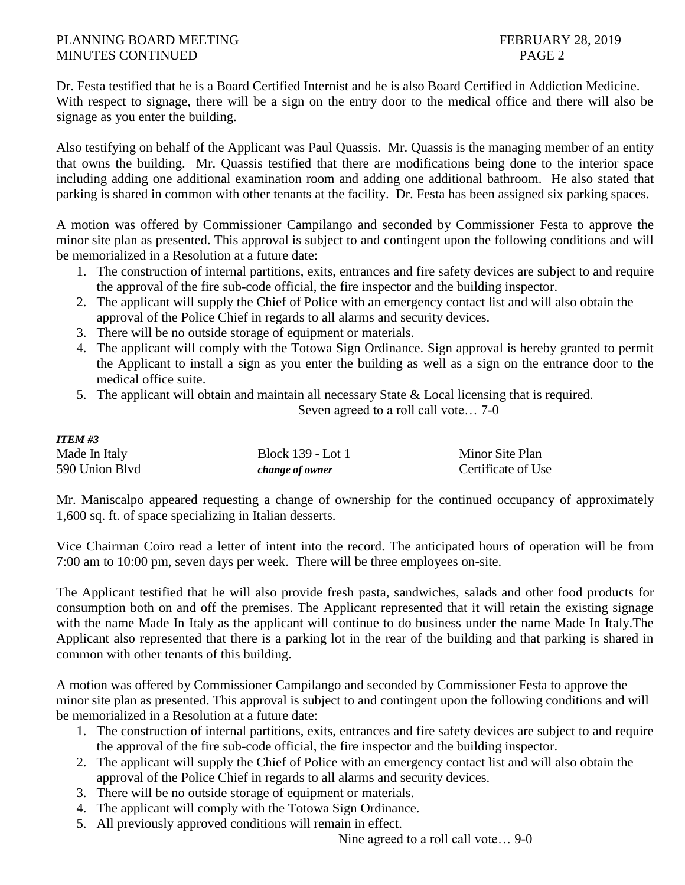Dr. Festa testified that he is a Board Certified Internist and he is also Board Certified in Addiction Medicine. With respect to signage, there will be a sign on the entry door to the medical office and there will also be signage as you enter the building.

Also testifying on behalf of the Applicant was Paul Quassis. Mr. Quassis is the managing member of an entity that owns the building. Mr. Quassis testified that there are modifications being done to the interior space including adding one additional examination room and adding one additional bathroom. He also stated that parking is shared in common with other tenants at the facility. Dr. Festa has been assigned six parking spaces.

A motion was offered by Commissioner Campilango and seconded by Commissioner Festa to approve the minor site plan as presented. This approval is subject to and contingent upon the following conditions and will be memorialized in a Resolution at a future date:

- 1. The construction of internal partitions, exits, entrances and fire safety devices are subject to and require the approval of the fire sub-code official, the fire inspector and the building inspector.
- 2. The applicant will supply the Chief of Police with an emergency contact list and will also obtain the approval of the Police Chief in regards to all alarms and security devices.
- 3. There will be no outside storage of equipment or materials.
- 4. The applicant will comply with the Totowa Sign Ordinance. Sign approval is hereby granted to permit the Applicant to install a sign as you enter the building as well as a sign on the entrance door to the medical office suite.
- 5. The applicant will obtain and maintain all necessary State & Local licensing that is required.

Seven agreed to a roll call vote… 7-0

| <b>ITEM #3</b> |                   |                    |
|----------------|-------------------|--------------------|
| Made In Italy  | Block 139 - Lot 1 | Minor Site Plan    |
| 590 Union Blyd | change of owner   | Certificate of Use |

Mr. Maniscalpo appeared requesting a change of ownership for the continued occupancy of approximately 1,600 sq. ft. of space specializing in Italian desserts.

Vice Chairman Coiro read a letter of intent into the record. The anticipated hours of operation will be from 7:00 am to 10:00 pm, seven days per week. There will be three employees on-site.

The Applicant testified that he will also provide fresh pasta, sandwiches, salads and other food products for consumption both on and off the premises. The Applicant represented that it will retain the existing signage with the name Made In Italy as the applicant will continue to do business under the name Made In Italy.The Applicant also represented that there is a parking lot in the rear of the building and that parking is shared in common with other tenants of this building.

A motion was offered by Commissioner Campilango and seconded by Commissioner Festa to approve the minor site plan as presented. This approval is subject to and contingent upon the following conditions and will be memorialized in a Resolution at a future date:

- 1. The construction of internal partitions, exits, entrances and fire safety devices are subject to and require the approval of the fire sub-code official, the fire inspector and the building inspector.
- 2. The applicant will supply the Chief of Police with an emergency contact list and will also obtain the approval of the Police Chief in regards to all alarms and security devices.
- 3. There will be no outside storage of equipment or materials.
- 4. The applicant will comply with the Totowa Sign Ordinance.
- 5. All previously approved conditions will remain in effect.

Nine agreed to a roll call vote… 9-0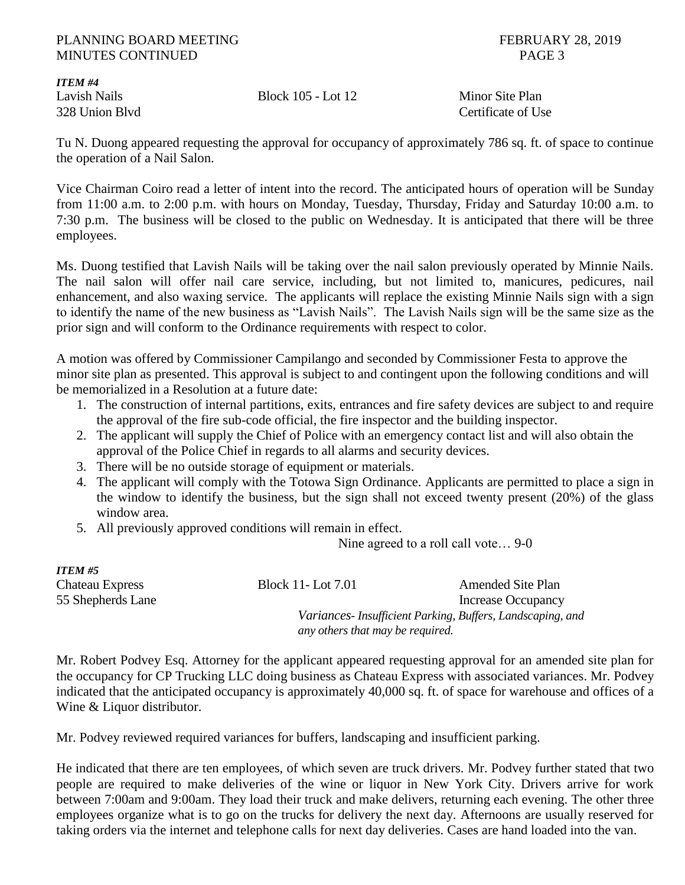*ITEM #4*

# Lavish Nails Block 105 - Lot 12 Minor Site Plan

328 Union Blvd Certificate of Use

Tu N. Duong appeared requesting the approval for occupancy of approximately 786 sq. ft. of space to continue the operation of a Nail Salon.

Vice Chairman Coiro read a letter of intent into the record. The anticipated hours of operation will be Sunday from 11:00 a.m. to 2:00 p.m. with hours on Monday, Tuesday, Thursday, Friday and Saturday 10:00 a.m. to 7:30 p.m. The business will be closed to the public on Wednesday. It is anticipated that there will be three employees.

Ms. Duong testified that Lavish Nails will be taking over the nail salon previously operated by Minnie Nails. The nail salon will offer nail care service, including, but not limited to, manicures, pedicures, nail enhancement, and also waxing service. The applicants will replace the existing Minnie Nails sign with a sign to identify the name of the new business as "Lavish Nails". The Lavish Nails sign will be the same size as the prior sign and will conform to the Ordinance requirements with respect to color.

A motion was offered by Commissioner Campilango and seconded by Commissioner Festa to approve the minor site plan as presented. This approval is subject to and contingent upon the following conditions and will be memorialized in a Resolution at a future date:

- 1. The construction of internal partitions, exits, entrances and fire safety devices are subject to and require the approval of the fire sub-code official, the fire inspector and the building inspector.
- 2. The applicant will supply the Chief of Police with an emergency contact list and will also obtain the approval of the Police Chief in regards to all alarms and security devices.
- 3. There will be no outside storage of equipment or materials.
- 4. The applicant will comply with the Totowa Sign Ordinance. Applicants are permitted to place a sign in the window to identify the business, but the sign shall not exceed twenty present (20%) of the glass window area.
- 5. All previously approved conditions will remain in effect.

Nine agreed to a roll call vote… 9-0

| <i>ITEM #5</i>    |                                  |                                                            |
|-------------------|----------------------------------|------------------------------------------------------------|
| Chateau Express   | Block 11- Lot 7.01               | <b>Amended Site Plan</b>                                   |
| 55 Shepherds Lane |                                  | Increase Occupancy                                         |
|                   |                                  | Variances- Insufficient Parking, Buffers, Landscaping, and |
|                   | any others that may be required. |                                                            |

Mr. Robert Podvey Esq. Attorney for the applicant appeared requesting approval for an amended site plan for the occupancy for CP Trucking LLC doing business as Chateau Express with associated variances. Mr. Podvey indicated that the anticipated occupancy is approximately 40,000 sq. ft. of space for warehouse and offices of a Wine & Liquor distributor.

Mr. Podvey reviewed required variances for buffers, landscaping and insufficient parking.

He indicated that there are ten employees, of which seven are truck drivers. Mr. Podvey further stated that two people are required to make deliveries of the wine or liquor in New York City. Drivers arrive for work between 7:00am and 9:00am. They load their truck and make delivers, returning each evening. The other three employees organize what is to go on the trucks for delivery the next day. Afternoons are usually reserved for taking orders via the internet and telephone calls for next day deliveries. Cases are hand loaded into the van.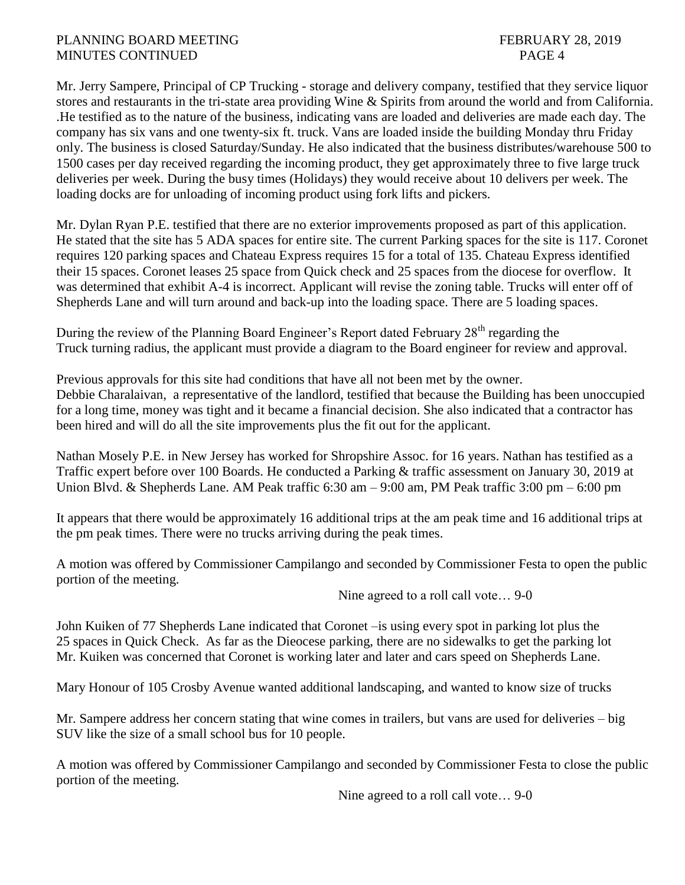Mr. Jerry Sampere, Principal of CP Trucking - storage and delivery company, testified that they service liquor stores and restaurants in the tri-state area providing Wine & Spirits from around the world and from California. .He testified as to the nature of the business, indicating vans are loaded and deliveries are made each day. The company has six vans and one twenty-six ft. truck. Vans are loaded inside the building Monday thru Friday only. The business is closed Saturday/Sunday. He also indicated that the business distributes/warehouse 500 to 1500 cases per day received regarding the incoming product, they get approximately three to five large truck deliveries per week. During the busy times (Holidays) they would receive about 10 delivers per week. The loading docks are for unloading of incoming product using fork lifts and pickers.

Mr. Dylan Ryan P.E. testified that there are no exterior improvements proposed as part of this application. He stated that the site has 5 ADA spaces for entire site. The current Parking spaces for the site is 117. Coronet requires 120 parking spaces and Chateau Express requires 15 for a total of 135. Chateau Express identified their 15 spaces. Coronet leases 25 space from Quick check and 25 spaces from the diocese for overflow. It was determined that exhibit A-4 is incorrect. Applicant will revise the zoning table. Trucks will enter off of Shepherds Lane and will turn around and back-up into the loading space. There are 5 loading spaces.

During the review of the Planning Board Engineer's Report dated February 28<sup>th</sup> regarding the Truck turning radius, the applicant must provide a diagram to the Board engineer for review and approval.

Previous approvals for this site had conditions that have all not been met by the owner. Debbie Charalaivan, a representative of the landlord, testified that because the Building has been unoccupied for a long time, money was tight and it became a financial decision. She also indicated that a contractor has been hired and will do all the site improvements plus the fit out for the applicant.

Nathan Mosely P.E. in New Jersey has worked for Shropshire Assoc. for 16 years. Nathan has testified as a Traffic expert before over 100 Boards. He conducted a Parking & traffic assessment on January 30, 2019 at Union Blvd. & Shepherds Lane. AM Peak traffic 6:30 am – 9:00 am, PM Peak traffic 3:00 pm – 6:00 pm

It appears that there would be approximately 16 additional trips at the am peak time and 16 additional trips at the pm peak times. There were no trucks arriving during the peak times.

A motion was offered by Commissioner Campilango and seconded by Commissioner Festa to open the public portion of the meeting.

Nine agreed to a roll call vote… 9-0

John Kuiken of 77 Shepherds Lane indicated that Coronet –is using every spot in parking lot plus the 25 spaces in Quick Check. As far as the Dieocese parking, there are no sidewalks to get the parking lot Mr. Kuiken was concerned that Coronet is working later and later and cars speed on Shepherds Lane.

Mary Honour of 105 Crosby Avenue wanted additional landscaping, and wanted to know size of trucks

Mr. Sampere address her concern stating that wine comes in trailers, but vans are used for deliveries – big SUV like the size of a small school bus for 10 people.

A motion was offered by Commissioner Campilango and seconded by Commissioner Festa to close the public portion of the meeting.

Nine agreed to a roll call vote… 9-0